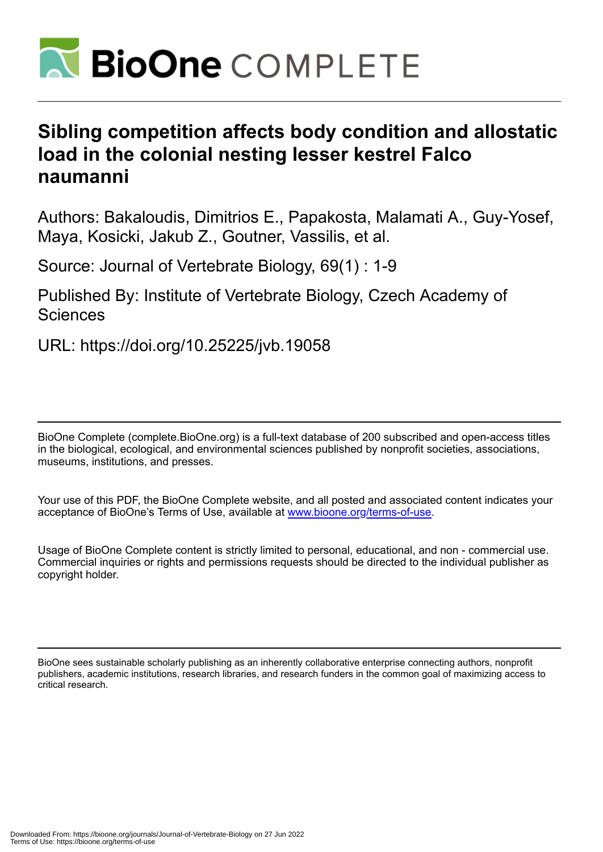

# **Sibling competition affects body condition and allostatic load in the colonial nesting lesser kestrel Falco naumanni**

Authors: Bakaloudis, Dimitrios E., Papakosta, Malamati A., Guy-Yosef, Maya, Kosicki, Jakub Z., Goutner, Vassilis, et al.

Source: Journal of Vertebrate Biology, 69(1) : 1-9

Published By: Institute of Vertebrate Biology, Czech Academy of **Sciences** 

URL: https://doi.org/10.25225/jvb.19058

BioOne Complete (complete.BioOne.org) is a full-text database of 200 subscribed and open-access titles in the biological, ecological, and environmental sciences published by nonprofit societies, associations, museums, institutions, and presses.

Your use of this PDF, the BioOne Complete website, and all posted and associated content indicates your acceptance of BioOne's Terms of Use, available at www.bioone.org/terms-of-use.

Usage of BioOne Complete content is strictly limited to personal, educational, and non - commercial use. Commercial inquiries or rights and permissions requests should be directed to the individual publisher as copyright holder.

BioOne sees sustainable scholarly publishing as an inherently collaborative enterprise connecting authors, nonprofit publishers, academic institutions, research libraries, and research funders in the common goal of maximizing access to critical research.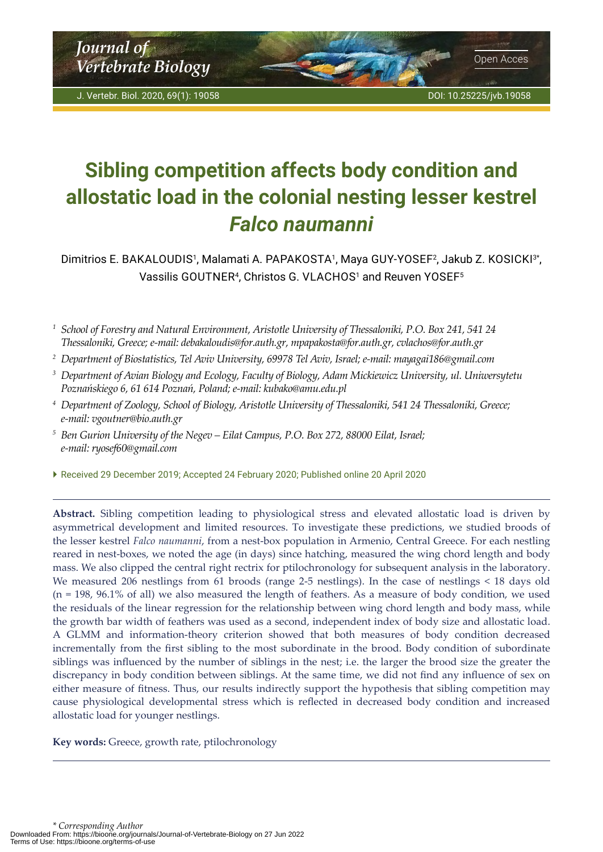<span id="page-1-0"></span>*Journal of* **Vertebrate Biology Open Acces** 

# **Sibling competition affects body condition and allostatic load in the colonial nesting lesser kestrel**  *Falco naumanni*

Dimitrios E. BAKALOUDIS<sup>1</sup>, Malamati A. PAPAKOSTA<sup>1</sup>, Maya GUY-YOSEF<sup>2</sup>, Jakub Z. KOSICKI<sup>3\*</sup>, Vassilis GOUTNER<sup>4</sup>, Christos G. VLACHOS<sup>1</sup> and Reuven YOSEF<sup>5</sup>

*<sup>1</sup> School of Forestry and Natural Environment, Aristotle University of Thessaloniki, P.O. Box 241, 541 24 Thessaloniki, Greece; e-mail: debakaloudis@for.auth.gr, [mpapakosta@for.auth.gr](mailto:mpapakosta@for.auth.gr), cvlachos@for.auth.gr*

- *<sup>2</sup> Department of Biostatistics, Tel Aviv University, 69978 Tel Aviv, Israel; e-mail: mayagai186@gmail.com*
- *<sup>3</sup> Department of Avian Biology and Ecology, Faculty of Biology, Adam Mickiewicz University, ul. Uniwersytetu Poznańskiego 6, 61 614 Poznań, Poland; e-mail: kubako@amu.edu.pl*
- *<sup>4</sup> Department of Zoology, School of Biology, Aristotle University of Thessaloniki, 541 24 Thessaloniki, Greece; e-mail: vgoutner@bio.auth.gr*
- *<sup>5</sup> Ben Gurion University of the Negev Eilat Campus, P.O. Box 272, 88000 Eilat, Israel; e-mail: [ryosef60@gmail.com](mailto:ryosef60@gmail.com)*
- Received 29 December 2019; Accepted 24 February 2020; Published online 20 April 2020

**Abstract.** Sibling competition leading to physiological stress and elevated allostatic load is driven by asymmetrical development and limited resources. To investigate these predictions, we studied broods of the lesser kestrel *Falco naumanni*, from a nest-box population in Armenio, Central Greece. For each nestling reared in nest-boxes, we noted the age (in days) since hatching, measured the wing chord length and body mass. We also clipped the central right rectrix for ptilochronology for subsequent analysis in the laboratory. We measured 206 nestlings from 61 broods (range 2-5 nestlings). In the case of nestlings < 18 days old (n = 198, 96.1% of all) we also measured the length of feathers. As a measure of body condition, we used the residuals of the linear regression for the relationship between wing chord length and body mass, while the growth bar width of feathers was used as a second, independent index of body size and allostatic load. A GLMM and information-theory criterion showed that both measures of body condition decreased incrementally from the first sibling to the most subordinate in the brood. Body condition of subordinate siblings was influenced by the number of siblings in the nest; i.e. the larger the brood size the greater the discrepancy in body condition between siblings. At the same time, we did not find any influence of sex on either measure of fitness. Thus, our results indirectly support the hypothesis that sibling competition may cause physiological developmental stress which is reflected in decreased body condition and increased allostatic load for younger nestlings.

**Key words:** Greece, growth rate, ptilochronology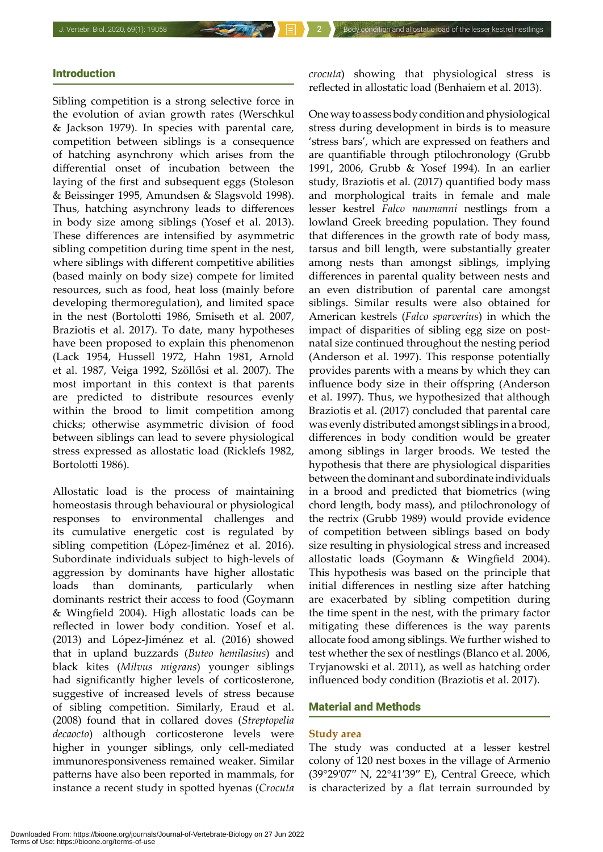## Introduction

Sibling competition is a strong selective force in the evolution of avian growth rates (Werschkul & Jackson 1979). In species with parental care, competition between siblings is a consequence of hatching asynchrony which arises from the differential onset of incubation between the laying of the first and subsequent eggs (Stoleson & Beissinger 1995, Amundsen & Slagsvold 1998). Thus, hatching asynchrony leads to differences in body size among siblings (Yosef et al. 2013). These differences are intensified by asymmetric sibling competition during time spent in the nest, where siblings with different competitive abilities (based mainly on body size) compete for limited resources, such as food, heat loss (mainly before developing thermoregulation), and limited space in the nest (Bortolotti 1986, Smiseth et al. 2007, Braziotis et al. 2017). To date, many hypotheses have been proposed to explain this phenomenon (Lack 1954, Hussell 1972, Hahn 1981, Arnold et al. 1987, Veiga 1992, Szöllősi et al. 2007). The most important in this context is that parents are predicted to distribute resources evenly within the brood to limit competition among chicks; otherwise asymmetric division of food between siblings can lead to severe physiological stress expressed as allostatic load (Ricklefs 1982, Bortolotti 1986).

Allostatic load is the process of maintaining homeostasis through behavioural or physiological responses to environmental challenges and its cumulative energetic cost is regulated by sibling competition (López-Jiménez et al. 2016). Subordinate individuals subject to high-levels of aggression by dominants have higher allostatic loads than dominants, particularly when dominants restrict their access to food (Goymann & Wingfield 2004). High allostatic loads can be reflected in lower body condition. Yosef et al. (2013) and López-Jiménez et al. (2016) showed that in upland buzzards (*Buteo hemilasius*) and black kites (*Milvus migrans*) younger siblings had significantly higher levels of corticosterone, suggestive of increased levels of stress because of sibling competition. Similarly, Eraud et al. (2008) found that in collared doves (*Streptopelia decaocto*) although corticosterone levels were higher in younger siblings, only cell-mediated immunoresponsiveness remained weaker. Similar patterns have also been reported in mammals, for instance a recent study in spotted hyenas (*Crocuta* 

*crocuta*) showing that physiological stress is reflected in allostatic load (Benhaiem et al. 2013).

One way to assess body condition and physiological stress during development in birds is to measure 'stress bars', which are expressed on feathers and are quantifiable through ptilochronology (Grubb 1991, 2006, Grubb & Yosef 1994). In an earlier study, Braziotis et al. (2017) quantified body mass and morphological traits in female and male lesser kestrel *Falco naumanni* nestlings from a lowland Greek breeding population. They found that differences in the growth rate of body mass, tarsus and bill length, were substantially greater among nests than amongst siblings, implying differences in parental quality between nests and an even distribution of parental care amongst siblings. Similar results were also obtained for American kestrels (*Falco sparverius*) in which the impact of disparities of sibling egg size on postnatal size continued throughout the nesting period (Anderson et al. 1997). This response potentially provides parents with a means by which they can influence body size in their offspring (Anderson et al. 1997). Thus, we hypothesized that although Braziotis et al. (2017) concluded that parental care was evenly distributed amongst siblings in a brood, differences in body condition would be greater among siblings in larger broods. We tested the hypothesis that there are physiological disparities between the dominant and subordinate individuals in a brood and predicted that biometrics (wing chord length, body mass), and ptilochronology of the rectrix (Grubb 1989) would provide evidence of competition between siblings based on body size resulting in physiological stress and increased allostatic loads (Goymann & Wingfield 2004). This hypothesis was based on the principle that initial differences in nestling size after hatching are exacerbated by sibling competition during the time spent in the nest, with the primary factor mitigating these differences is the way parents allocate food among siblings. We further wished to test whether the sex of nestlings (Blanco et al. 2006, Tryjanowski et al. 2011), as well as hatching order influenced body condition (Braziotis et al. 2017).

#### Material and Methods

#### **Study area**

The study was conducted at a lesser kestrel colony of 120 nest boxes in the village of Armenio (39°29′07′′ N, 22°41′39′′ E), Central Greece, which is characterized by a flat terrain surrounded by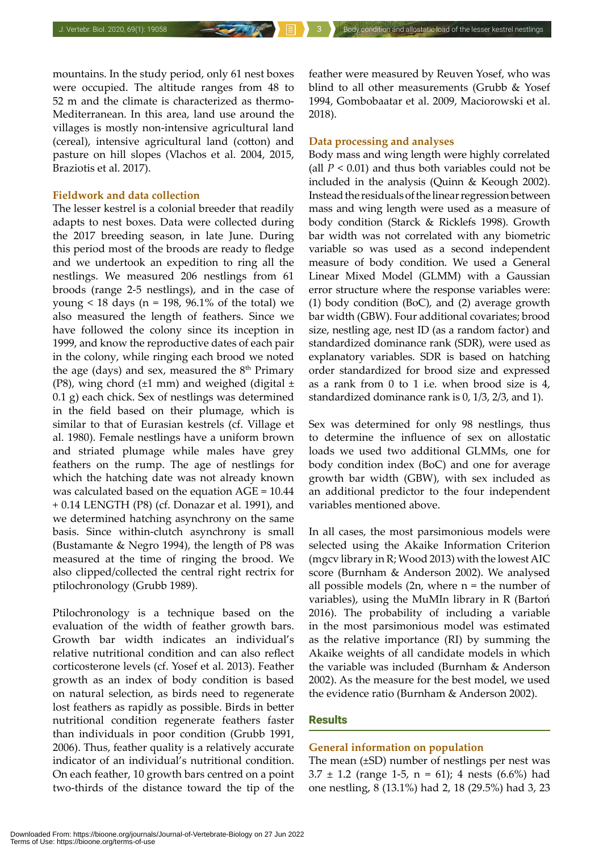mountains. In the study period, only 61 nest boxes were occupied. The altitude ranges from 48 to 52 m and the climate is characterized as thermo-Mediterranean. In this area, land use around the villages is mostly non-intensive agricultural land (cereal), intensive agricultural land (cotton) and pasture on hill slopes (Vlachos et al. 2004, 2015, Braziotis et al. 2017).

# **Fieldwork and data collection**

The lesser kestrel is a colonial breeder that readily adapts to nest boxes. Data were collected during the 2017 breeding season, in late June. During this period most of the broods are ready to fledge and we undertook an expedition to ring all the nestlings. We measured 206 nestlings from 61 broods (range 2-5 nestlings), and in the case of young  $\lt 18$  days (n = 198, 96.1% of the total) we also measured the length of feathers. Since we have followed the colony since its inception in 1999, and know the reproductive dates of each pair in the colony, while ringing each brood we noted the age (days) and sex, measured the  $8<sup>th</sup>$  Primary (P8), wing chord  $(\pm 1 \text{ mm})$  and weighed (digital  $\pm$ 0.1 g) each chick. Sex of nestlings was determined in the field based on their plumage, which is similar to that of Eurasian kestrels (cf. Village et al. 1980). Female nestlings have a uniform brown and striated plumage while males have grey feathers on the rump. The age of nestlings for which the hatching date was not already known was calculated based on the equation AGE = 10.44 + 0.14 LENGTH (P8) (cf. Donazar et al. 1991), and we determined hatching asynchrony on the same basis. Since within-clutch asynchrony is small (Bustamante & Negro 1994), the length of P8 was measured at the time of ringing the brood. We also clipped/collected the central right rectrix for ptilochronology (Grubb 1989).

Ptilochronology is a technique based on the evaluation of the width of feather growth bars. Growth bar width indicates an individual's relative nutritional condition and can also reflect corticosterone levels (cf. Yosef et al. 2013). Feather growth as an index of body condition is based on natural selection, as birds need to regenerate lost feathers as rapidly as possible. Birds in better nutritional condition regenerate feathers faster than individuals in poor condition (Grubb 1991, 2006). Thus, feather quality is a relatively accurate indicator of an individual's nutritional condition. On each feather, 10 growth bars centred on a point two-thirds of the distance toward the tip of the

feather were measured by Reuven Yosef, who was blind to all other measurements (Grubb & Yosef 1994, Gombobaatar et al. 2009, Maciorowski et al. 2018).

# **Data processing and analyses**

Body mass and wing length were highly correlated (all  $P < 0.01$ ) and thus both variables could not be included in the analysis (Quinn & Keough 2002). Instead the residuals of the linear regression between mass and wing length were used as a measure of body condition (Starck & Ricklefs 1998). Growth bar width was not correlated with any biometric variable so was used as a second independent measure of body condition. We used a General Linear Mixed Model (GLMM) with a Gaussian error structure where the response variables were: (1) body condition (BoC), and (2) average growth bar width (GBW). Four additional covariates; brood size, nestling age, nest ID (as a random factor) and standardized dominance rank (SDR), were used as explanatory variables. SDR is based on hatching order standardized for brood size and expressed as a rank from 0 to 1 i.e. when brood size is 4, standardized dominance rank is 0, 1/3, 2/3, and 1).

Sex was determined for only 98 nestlings, thus to determine the influence of sex on allostatic loads we used two additional GLMMs, one for body condition index (BoC) and one for average growth bar width (GBW), with sex included as an additional predictor to the four independent variables mentioned above.

In all cases, the most parsimonious models were selected using the Akaike Information Criterion (mgcv library in R; Wood 2013) with the lowest AIC score (Burnham & Anderson 2002). We analysed all possible models  $(2n,$  where  $n =$  the number of variables), using the MuMIn library in R (Bartoń 2016). The probability of including a variable in the most parsimonious model was estimated as the relative importance (RI) by summing the Akaike weights of all candidate models in which the variable was included (Burnham & Anderson 2002). As the measure for the best model, we used the evidence ratio (Burnham & Anderson 2002).

# **Results**

### **General information on population**

The mean (±SD) number of nestlings per nest was  $3.7 \pm 1.2$  (range 1-5, n = 61); 4 nests (6.6%) had one nestling, 8 (13.1%) had 2, 18 (29.5%) had 3, 23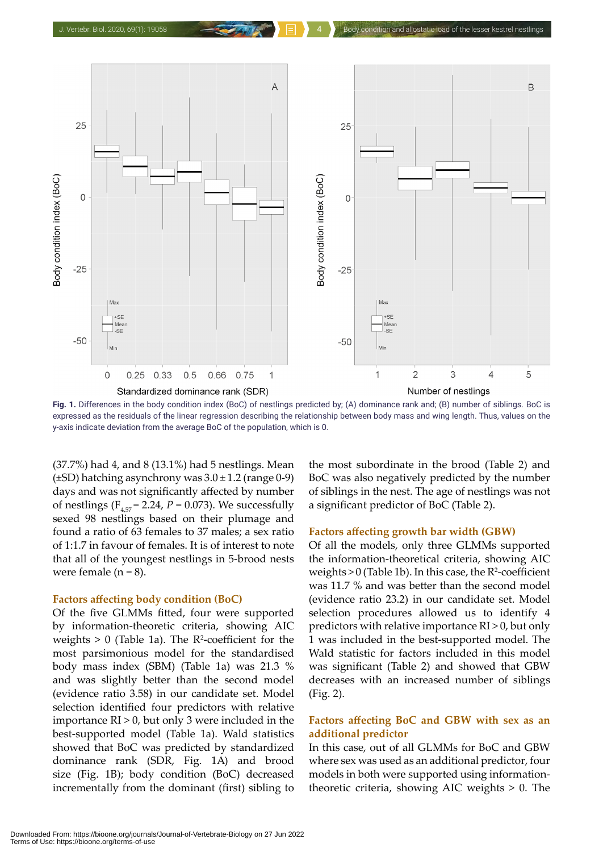

**Fig. 1.** Differences in the body condition index (BoC) of nestlings predicted by; (A) dominance rank and; (B) number of siblings. BoC is expressed as the residuals of the linear regression describing the relationship between body mass and wing length. Thus, values on the y-axis indicate deviation from the average BoC of the population, which is 0.

(37.7%) had 4, and 8 (13.1%) had 5 nestlings. Mean  $(\pm SD)$  hatching asynchrony was  $3.0 \pm 1.2$  (range 0-9) days and was not significantly affected by number of nestlings ( $F_{4,57}$  = 2.24,  $P = 0.073$ ). We successfully sexed 98 nestlings based on their plumage and found a ratio of 63 females to 37 males; a sex ratio of 1:1.7 in favour of females. It is of interest to note that all of the youngest nestlings in 5-brood nests were female  $(n = 8)$ .

#### **Factors affecting body condition (BoC)**

Of the five GLMMs fitted, four were supported by information-theoretic criteria, showing AIC weights  $> 0$  (Table 1a). The  $R^2$ -coefficient for the most parsimonious model for the standardised body mass index (SBM) (Table 1a) was 21.3 % and was slightly better than the second model (evidence ratio 3.58) in our candidate set. Model selection identified four predictors with relative importance  $RI > 0$ , but only 3 were included in the best-supported model (Table 1a). Wald statistics showed that BoC was predicted by standardized dominance rank (SDR, Fig. 1A) and brood size (Fig. 1B); body condition (BoC) decreased incrementally from the dominant (first) sibling to

the most subordinate in the brood (Table 2) and BoC was also negatively predicted by the number of siblings in the nest. The age of nestlings was not a significant predictor of BoC (Table 2).

#### **Factors affecting growth bar width (GBW)**

Of all the models, only three GLMMs supported the information-theoretical criteria, showing AIC weights  $>0$  (Table 1b). In this case, the  $R^2$ -coefficient was 11.7 % and was better than the second model (evidence ratio 23.2) in our candidate set. Model selection procedures allowed us to identify 4 predictors with relative importance RI > 0, but only 1 was included in the best-supported model. The Wald statistic for factors included in this model was significant (Table 2) and showed that GBW decreases with an increased number of siblings (Fig. 2).

# **Factors affecting BoC and GBW with sex as an additional predictor**

In this case, out of all GLMMs for BoC and GBW where sex was used as an additional predictor, four models in both were supported using informationtheoretic criteria, showing AIC weights > 0. The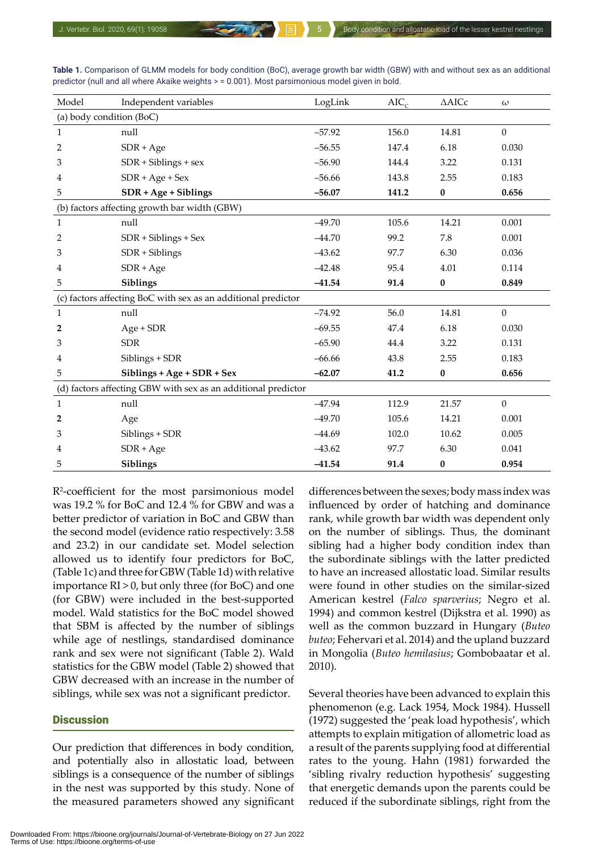| Model                                                         | Independent variables      | LogLink  | $AIC_{c}$ | $\triangle$ AICc | $\omega$         |  |  |  |  |
|---------------------------------------------------------------|----------------------------|----------|-----------|------------------|------------------|--|--|--|--|
| (a) body condition (BoC)                                      |                            |          |           |                  |                  |  |  |  |  |
| $\mathbf{1}$                                                  | null                       | $-57.92$ | 156.0     | 14.81            | $\boldsymbol{0}$ |  |  |  |  |
| 2                                                             | $SDR + Age$                | $-56.55$ | 147.4     | 6.18             | 0.030            |  |  |  |  |
| 3                                                             | $SDR + Sibling + sex$      | $-56.90$ | 144.4     | 3.22             | 0.131            |  |  |  |  |
| 4                                                             | $SDR + Age + Sex$          | $-56.66$ | 143.8     | 2.55             | 0.183            |  |  |  |  |
| 5                                                             | $SDR + Age + Sibling$      | $-56.07$ | 141.2     | $\pmb{0}$        | 0.656            |  |  |  |  |
| (b) factors affecting growth bar width (GBW)                  |                            |          |           |                  |                  |  |  |  |  |
| $\mathbf{1}$                                                  | null                       | $-49.70$ | 105.6     | 14.21            | 0.001            |  |  |  |  |
| 2                                                             | $SDR + Sibling + Sex$      | $-44.70$ | 99.2      | 7.8              | 0.001            |  |  |  |  |
| 3                                                             | SDR + Siblings             | $-43.62$ | 97.7      | 6.30             | 0.036            |  |  |  |  |
| 4                                                             | $SDR + Age$                | $-42.48$ | 95.4      | 4.01             | 0.114            |  |  |  |  |
| 5                                                             | Siblings                   | $-41.54$ | 91.4      | $\pmb{0}$        | 0.849            |  |  |  |  |
| (c) factors affecting BoC with sex as an additional predictor |                            |          |           |                  |                  |  |  |  |  |
| $\mathbf{1}$                                                  | null                       | $-74.92$ | 56.0      | 14.81            | $\mathbf{0}$     |  |  |  |  |
| 2                                                             | $Age + SDR$                | $-69.55$ | 47.4      | 6.18             | 0.030            |  |  |  |  |
| 3                                                             | <b>SDR</b>                 | $-65.90$ | 44.4      | 3.22             | 0.131            |  |  |  |  |
| 4                                                             | Siblings + SDR             | $-66.66$ | 43.8      | 2.55             | 0.183            |  |  |  |  |
| 5                                                             | Siblings + Age + SDR + Sex | $-62.07$ | 41.2      | $\pmb{0}$        | 0.656            |  |  |  |  |
| (d) factors affecting GBW with sex as an additional predictor |                            |          |           |                  |                  |  |  |  |  |
| $\mathbf{1}$                                                  | null                       | $-47.94$ | 112.9     | 21.57            | $\mathbf{0}$     |  |  |  |  |
| 2                                                             | Age                        | $-49.70$ | 105.6     | 14.21            | 0.001            |  |  |  |  |
| 3                                                             | Siblings + SDR             | $-44.69$ | 102.0     | 10.62            | 0.005            |  |  |  |  |
| 4                                                             | $SDR + Age$                | $-43.62$ | 97.7      | 6.30             | 0.041            |  |  |  |  |
| 5                                                             | Siblings                   | $-41.54$ | 91.4      | $\bf{0}$         | 0.954            |  |  |  |  |

**Table 1.** Comparison of GLMM models for body condition (BoC), average growth bar width (GBW) with and without sex as an additional predictor (null and all where Akaike weights > = 0.001). Most parsimonious model given in bold.

R2 -coefficient for the most parsimonious model was 19.2 % for BoC and 12.4 % for GBW and was a better predictor of variation in BoC and GBW than the second model (evidence ratio respectively: 3.58 and 23.2) in our candidate set. Model selection allowed us to identify four predictors for BoC, (Table 1c) and three for GBW (Table 1d) with relative importance RI > 0, but only three (for BoC) and one (for GBW) were included in the best-supported model. Wald statistics for the BoC model showed that SBM is affected by the number of siblings while age of nestlings, standardised dominance rank and sex were not significant (Table 2). Wald statistics for the GBW model (Table 2) showed that GBW decreased with an increase in the number of siblings, while sex was not a significant predictor.

#### **Discussion**

Our prediction that differences in body condition, and potentially also in allostatic load, between siblings is a consequence of the number of siblings in the nest was supported by this study. None of the measured parameters showed any significant differences between the sexes; body mass index was influenced by order of hatching and dominance rank, while growth bar width was dependent only on the number of siblings. Thus, the dominant sibling had a higher body condition index than the subordinate siblings with the latter predicted to have an increased allostatic load. Similar results were found in other studies on the similar-sized American kestrel (*Falco sparverius*; Negro et al. 1994) and common kestrel (Dijkstra et al. 1990) as well as the common buzzard in Hungary (*Buteo buteo*; Fehervari et al. 2014) and the upland buzzard in Mongolia (*Buteo hemilasius*; Gombobaatar et al. 2010).

Several theories have been advanced to explain this phenomenon (e.g. Lack 1954, Mock 1984). Hussell (1972) suggested the 'peak load hypothesis', which attempts to explain mitigation of allometric load as a result of the parents supplying food at differential rates to the young. Hahn (1981) forwarded the 'sibling rivalry reduction hypothesis' suggesting that energetic demands upon the parents could be reduced if the subordinate siblings, right from the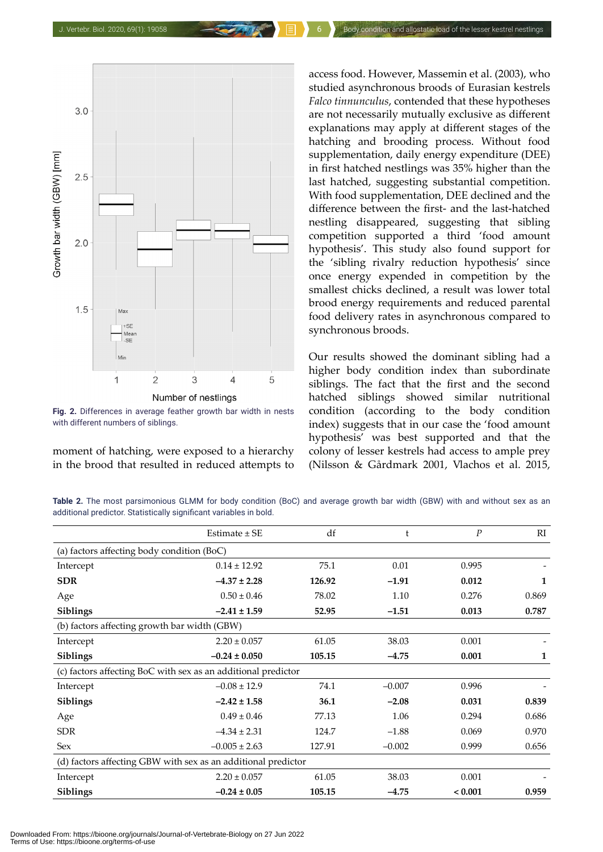

**Fig. 2.** Differences in average feather growth bar width in nests with different numbers of siblings.

moment of hatching, were exposed to a hierarchy in the brood that resulted in reduced attempts to

access food. However, Massemin et al. (2003), who studied asynchronous broods of Eurasian kestrels *Falco tinnunculus*, contended that these hypotheses are not necessarily mutually exclusive as different explanations may apply at different stages of the hatching and brooding process. Without food supplementation, daily energy expenditure (DEE) in first hatched nestlings was 35% higher than the last hatched, suggesting substantial competition. With food supplementation, DEE declined and the difference between the first- and the last-hatched nestling disappeared, suggesting that sibling competition supported a third 'food amount hypothesis'. This study also found support for the 'sibling rivalry reduction hypothesis' since once energy expended in competition by the smallest chicks declined, a result was lower total brood energy requirements and reduced parental food delivery rates in asynchronous compared to synchronous broods.

Our results showed the dominant sibling had a higher body condition index than subordinate siblings. The fact that the first and the second hatched siblings showed similar nutritional condition (according to the body condition index) suggests that in our case the 'food amount hypothesis' was best supported and that the colony of lesser kestrels had access to ample prey (Nilsson & Gårdmark 2001, Vlachos et al. 2015,

**Table 2.** The most parsimonious GLMM for body condition (BoC) and average growth bar width (GBW) with and without sex as an additional predictor. Statistically significant variables in bold.

|                                                               | Estimate $\pm$ SE | df     | t        | $\boldsymbol{P}$ | RI    |  |  |  |  |
|---------------------------------------------------------------|-------------------|--------|----------|------------------|-------|--|--|--|--|
| (a) factors affecting body condition (BoC)                    |                   |        |          |                  |       |  |  |  |  |
| Intercept                                                     | $0.14 \pm 12.92$  | 75.1   | 0.01     | 0.995            |       |  |  |  |  |
| <b>SDR</b>                                                    | $-4.37 \pm 2.28$  | 126.92 | $-1.91$  | 0.012            | 1     |  |  |  |  |
| Age                                                           | $0.50 \pm 0.46$   | 78.02  | 1.10     | 0.276            | 0.869 |  |  |  |  |
| Siblings                                                      | $-2.41 \pm 1.59$  | 52.95  | $-1.51$  | 0.013            | 0.787 |  |  |  |  |
| (b) factors affecting growth bar width (GBW)                  |                   |        |          |                  |       |  |  |  |  |
| Intercept                                                     | $2.20 \pm 0.057$  | 61.05  | 38.03    | 0.001            |       |  |  |  |  |
| Siblings                                                      | $-0.24 \pm 0.050$ | 105.15 | $-4.75$  | 0.001            | 1     |  |  |  |  |
| (c) factors affecting BoC with sex as an additional predictor |                   |        |          |                  |       |  |  |  |  |
| Intercept                                                     | $-0.08 \pm 12.9$  | 74.1   | $-0.007$ | 0.996            |       |  |  |  |  |
| Siblings                                                      | $-2.42 \pm 1.58$  | 36.1   | $-2.08$  | 0.031            | 0.839 |  |  |  |  |
| Age                                                           | $0.49 \pm 0.46$   | 77.13  | 1.06     | 0.294            | 0.686 |  |  |  |  |
| <b>SDR</b>                                                    | $-4.34 \pm 2.31$  | 124.7  | $-1.88$  | 0.069            | 0.970 |  |  |  |  |
| <b>Sex</b>                                                    | $-0.005 \pm 2.63$ | 127.91 | $-0.002$ | 0.999            | 0.656 |  |  |  |  |
| (d) factors affecting GBW with sex as an additional predictor |                   |        |          |                  |       |  |  |  |  |
| Intercept                                                     | $2.20 \pm 0.057$  | 61.05  | 38.03    | 0.001            |       |  |  |  |  |
| Siblings                                                      | $-0.24 \pm 0.05$  | 105.15 | $-4.75$  | < 0.001          | 0.959 |  |  |  |  |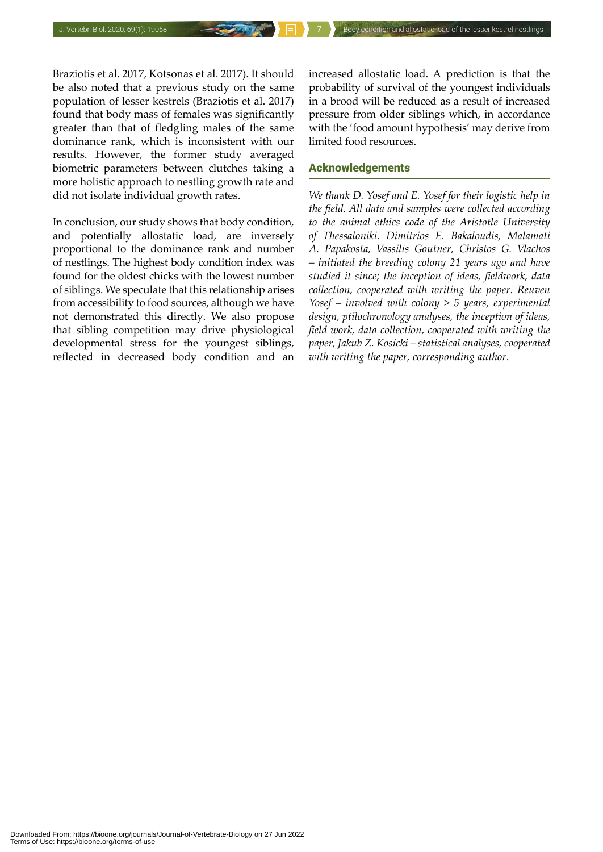Braziotis et al. 2017, Kotsonas et al. 2017). It should be also noted that a previous study on the same population of lesser kestrels (Braziotis et al. 2017) found that body mass of females was significantly greater than that of fledgling males of the same dominance rank, which is inconsistent with our results. However, the former study averaged biometric parameters between clutches taking a more holistic approach to nestling growth rate and did not isolate individual growth rates.

In conclusion, our study shows that body condition, and potentially allostatic load, are inversely proportional to the dominance rank and number of nestlings. The highest body condition index was found for the oldest chicks with the lowest number of siblings. We speculate that this relationship arises from accessibility to food sources, although we have not demonstrated this directly. We also propose that sibling competition may drive physiological developmental stress for the youngest siblings, reflected in decreased body condition and an

increased allostatic load. A prediction is that the probability of survival of the youngest individuals in a brood will be reduced as a result of increased pressure from older siblings which, in accordance with the 'food amount hypothesis' may derive from limited food resources.

### Acknowledgements

*We thank D. Yosef and E. Yosef for their logistic help in the field. All data and samples were collected according to the animal ethics code of the Aristotle University of Thessaloniki. Dimitrios E. Bakaloudis, Malamati A. Papakosta, Vassilis Goutner, Christos G. Vlachos – initiated the breeding colony 21 years ago and have studied it since; the inception of ideas, fieldwork, data collection, cooperated with writing the paper. Reuven Yosef – involved with colony > 5 years, experimental design, ptilochronology analyses, the inception of ideas, field work, data collection, cooperated with writing the paper, Jakub Z. Kosicki – statistical analyses, cooperated with writing the paper, corresponding author.*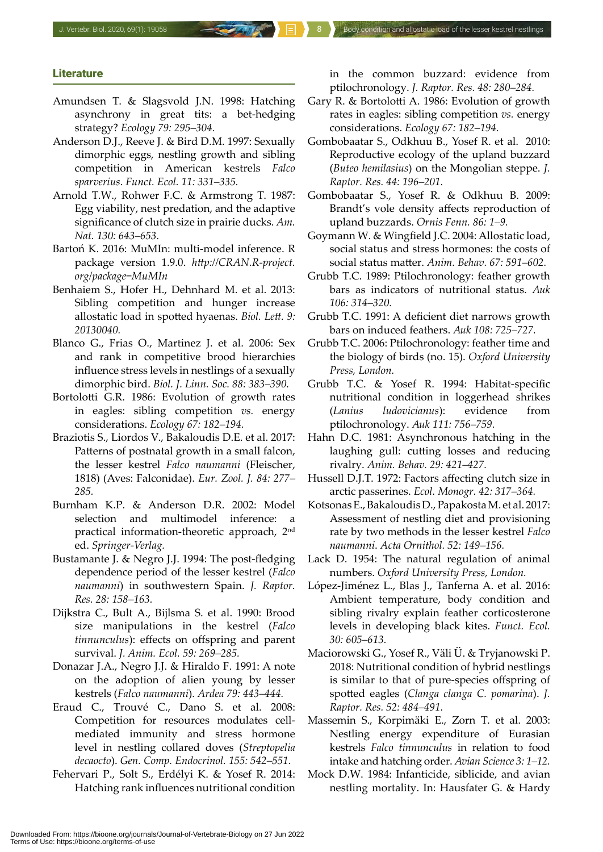#### **Literature**

- Amundsen T. & Slagsvold J.N. 1998: Hatching asynchrony in great tits: a bet-hedging strategy? *Ecology 79: 295–304.*
- Anderson D.J., Reeve J. & Bird D.M. 1997: Sexually dimorphic eggs, nestling growth and sibling competition in American kestrels *Falco sparverius*. *Funct. Ecol. 11: 331–335.*
- Arnold T.W., Rohwer F.C. & Armstrong T. 1987: Egg viability, nest predation, and the adaptive significance of clutch size in prairie ducks. *Am. Nat. 130: 643–653.*
- Bartoń K. 2016: MuMIn: multi-model inference. R package version 1.9.0. *http://CRAN.R-project. org/package=MuMIn*
- Benhaiem S., Hofer H., Dehnhard M. et al. 2013: Sibling competition and hunger increase allostatic load in spotted hyaenas. *Biol. Lett. 9: 20130040.*
- Blanco G., Frias O., Martinez J. et al. 2006: Sex and rank in competitive brood hierarchies influence stress levels in nestlings of a sexually dimorphic bird. *Biol. J. Linn. Soc. 88: 383–390.*
- Bortolotti G.R. 1986: Evolution of growth rates in eagles: sibling competition *vs.* energy considerations. *Ecology 67: 182–194.*
- Braziotis S., Liordos V., Bakaloudis D.E. et al. 2017: Patterns of postnatal growth in a small falcon, the lesser kestrel *Falco naumanni* (Fleischer, 1818) (Aves: Falconidae). *Eur. Zool. J. 84: 277– 285.*
- Burnham K.P. & Anderson D.R. 2002: Model selection and multimodel inference: practical information-theoretic approach, 2nd ed. *Springer-Verlag.*
- Bustamante J. & Negro J.J. 1994: The post-fledging dependence period of the lesser kestrel (*Falco naumanni*) in southwestern Spain. *J. Raptor. Res. 28: 158–163.*
- Dijkstra C., Bult A., Bijlsma S. et al. 1990: Brood size manipulations in the kestrel (*Falco tinnunculus*): effects on offspring and parent survival. *J. Anim. Ecol. 59: 269–285.*
- Donazar J.A., Negro J.J. & Hiraldo F. 1991: A note on the adoption of alien young by lesser kestrels (*Falco naumanni*). *Ardea 79: 443–444.*
- Eraud C., Trouvé C., Dano S. et al. 2008: Competition for resources modulates cellmediated immunity and stress hormone level in nestling collared doves (*Streptopelia decaocto*). *Gen. Comp. Endocrinol. 155: 542–551.*
- Fehervari P., Solt S., Erdélyi K. & Yosef R. 2014: Hatching rank influences nutritional condition

in the common buzzard: evidence from ptilochronology. *J. Raptor. Res. 48: 280–284.*

- Gary R. & Bortolotti A. 1986: Evolution of growth rates in eagles: sibling competition *vs.* energy considerations. *Ecology 67: 182–194.*
- Gombobaatar S., Odkhuu B., Yosef R. et al. 2010: Reproductive ecology of the upland buzzard (*Buteo hemilasius*) on the Mongolian steppe. *J. Raptor. Res. 44: 196–201.*
- Gombobaatar S., Yosef R. & Odkhuu B. 2009: Brandt's vole density affects reproduction of upland buzzards. *Ornis Fenn. 86: 1–9.*
- Goymann W. & Wingfield J.C. 2004: Allostatic load, social status and stress hormones: the costs of social status matter. *Anim. Behav. 67: 591–602.*
- Grubb T.C. 1989: Ptilochronology: feather growth bars as indicators of nutritional status. *Auk 106: 314–320.*
- Grubb T.C. 1991: A deficient diet narrows growth bars on induced feathers. *Auk 108: 725–727.*
- Grubb T.C. 2006: Ptilochronology: feather time and the biology of birds (no. 15). *Oxford University Press, London.*
- Grubb T.C. & Yosef R. 1994: Habitat-specific nutritional condition in loggerhead shrikes (*Lanius ludovicianus*): evidence from ptilochronology. *Auk 111: 756–759.*
- Hahn D.C. 1981: Asynchronous hatching in the laughing gull: cutting losses and reducing rivalry. *Anim. Behav. 29: 421–427.*
- Hussell D.J.T. 1972: Factors affecting clutch size in arctic passerines. *Ecol. Monogr. 42: 317–364.*
- Kotsonas E., Bakaloudis D., Papakosta M. et al. 2017: Assessment of nestling diet and provisioning rate by two methods in the lesser kestrel *Falco naumanni*. *Acta Ornithol. 52: 149–156.*
- Lack D. 1954: The natural regulation of animal numbers. *Oxford University Press, London.*
- López-Jiménez L., Blas J., Tanferna A. et al. 2016: Ambient temperature, body condition and sibling rivalry explain feather corticosterone levels in developing black kites. *Funct. Ecol. 30: 605–613.*
- Maciorowski G., Yosef R., Väli Ü. & Tryjanowski P. 2018: Nutritional condition of hybrid nestlings is similar to that of pure-species offspring of spotted eagles (*Clanga clanga C. pomarina*). *J. Raptor. Res. 52: 484–491.*
- Massemin S., Korpimäki E., Zorn T. et al. 2003: Nestling energy expenditure of Eurasian kestrels *Falco tinnunculus* in relation to food intake and hatching order. *Avian Science 3: 1–12.*
- Mock D.W. 1984: Infanticide, siblicide, and avian nestling mortality. In: Hausfater G. & Hardy